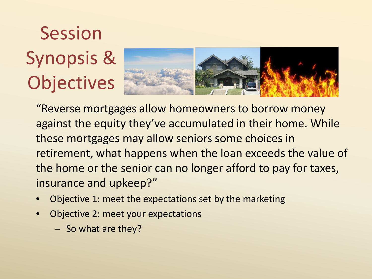### Session Synopsis & **Objectives**



"Reverse mortgages allow homeowners to borrow money against the equity they've accumulated in their home. While these mortgages may allow seniors some choices in retirement, what happens when the loan exceeds the value of the home or the senior can no longer afford to pay for taxes, insurance and upkeep?"

- Objective 1: meet the expectations set by the marketing
- Objective 2: meet your expectations
	- So what are they?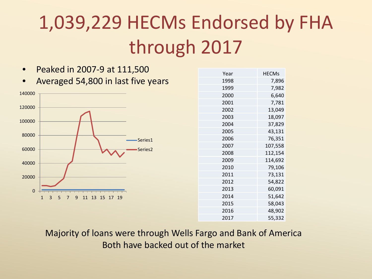### 1,039,229 HECMs Endorsed by FHA through 2017

|          | $1$ canca in 2007 c at 111,000                      |
|----------|-----------------------------------------------------|
|          | Averaged 54,800 in last five years                  |
| 140000   |                                                     |
| 120000   |                                                     |
| 100000   |                                                     |
| 80000    | Series1                                             |
| 60000    | Series2                                             |
| 40000    |                                                     |
| 20000    |                                                     |
| $\Omega$ |                                                     |
|          | 13<br>15<br>1<br>3<br>5<br>9<br>11<br>17<br>19<br>7 |

• Peaked in 2007-9 at 111,500

| Year | <b>HECMs</b> |
|------|--------------|
| 1998 | 7,896        |
| 1999 | 7,982        |
| 2000 | 6,640        |
| 2001 | 7,781        |
| 2002 | 13,049       |
| 2003 | 18,097       |
| 2004 | 37,829       |
| 2005 | 43,131       |
| 2006 | 76,351       |
| 2007 | 107,558      |
| 2008 | 112,154      |
| 2009 | 114,692      |
| 2010 | 79,106       |
| 2011 | 73,131       |
| 2012 | 54,822       |
| 2013 | 60,091       |
| 2014 | 51,642       |
| 2015 | 58,043       |
| 2016 | 48,902       |
| 2017 | 55,332       |

Majority of loans were through Wells Fargo and Bank of America Both have backed out of the market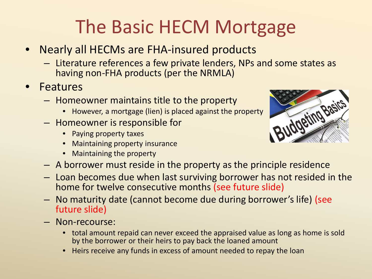### The Basic HECM Mortgage

- Nearly all HECMs are FHA-insured products
	- Literature references a few private lenders, NPs and some states as having non-FHA products (per the NRMLA)
- Features
	- Homeowner maintains title to the property
		- However, a mortgage (lien) is placed against the property
	- Homeowner is responsible for
		- Paying property taxes
		- Maintaining property insurance
		- Maintaining the property



- A borrower must reside in the property as the principle residence
- Loan becomes due when last surviving borrower has not resided in the home for twelve consecutive months (see future slide)
- No maturity date (cannot become due during borrower's life) (see future slide)
- Non-recourse:
	- total amount repaid can never exceed the appraised value as long as home is sold by the borrower or their heirs to pay back the loaned amount
	- Heirs receive any funds in excess of amount needed to repay the loan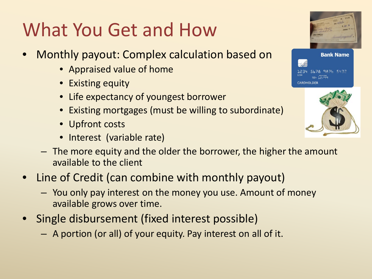### What You Get and How

- Monthly payout: Complex calculation based on
	- Appraised value of home
	- Existing equity
	- Life expectancy of youngest borrower
	- Existing mortgages (must be willing to subordinate)
	- Upfront costs
	- Interest (variable rate)





- The more equity and the older the borrower, the higher the amount available to the client
- Line of Credit (can combine with monthly payout)
	- You only pay interest on the money you use. Amount of money available grows over time.
- Single disbursement (fixed interest possible)
	- A portion (or all) of your equity. Pay interest on all of it.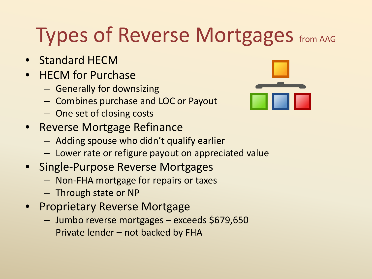### Types of Reverse Mortgages from AAG

- Standard HECM
- HECM for Purchase
	- Generally for downsizing
	- Combines purchase and LOC or Payout
	- One set of closing costs
- Reverse Mortgage Refinance
	- Adding spouse who didn't qualify earlier
	- Lower rate or refigure payout on appreciated value
- Single-Purpose Reverse Mortgages
	- Non-FHA mortgage for repairs or taxes
	- Through state or NP
- Proprietary Reverse Mortgage
	- Jumbo reverse mortgages exceeds \$679,650
	- Private lender not backed by FHA

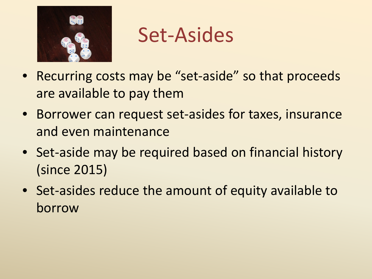

### Set-Asides

- Recurring costs may be "set-aside" so that proceeds are available to pay them
- Borrower can request set-asides for taxes, insurance and even maintenance
- Set-aside may be required based on financial history (since 2015)
- Set-asides reduce the amount of equity available to borrow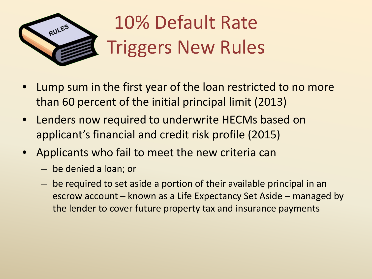

### 10% Default Rate Triggers New Rules

- Lump sum in the first year of the loan restricted to no more than 60 percent of the initial principal limit (2013)
- Lenders now required to underwrite HECMs based on applicant's financial and credit risk profile (2015)
- Applicants who fail to meet the new criteria can
	- be denied a loan; or
	- be required to set aside a portion of their available principal in an escrow account – known as a Life Expectancy Set Aside – managed by the lender to cover future property tax and insurance payments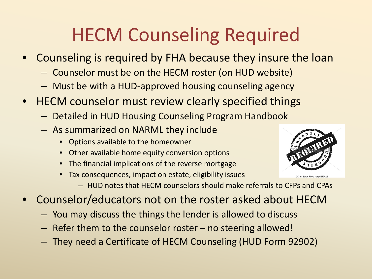### HECM Counseling Required

- Counseling is required by FHA because they insure the loan
	- Counselor must be on the HECM roster (on HUD website)
	- Must be with a HUD-approved housing counseling agency
- HECM counselor must review clearly specified things
	- Detailed in HUD Housing Counseling Program Handbook
	- As summarized on NARML they include
		- Options available to the homeowner
		- Other available home equity conversion options
		- The financial implications of the reverse mortgage
		- Tax consequences, impact on estate, eligibility issues
			- HUD notes that HECM counselors should make referrals to CFPs and CPAs
- Counselor/educators not on the roster asked about HECM
	- You may discuss the things the lender is allowed to discuss
	- Refer them to the counselor roster no steering allowed!
	- They need a Certificate of HECM Counseling (HUD Form 92902)

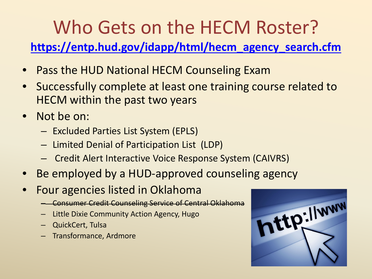### Who Gets on the HECM Roster?

**[https://entp.hud.gov/idapp/html/hecm\\_agency\\_search.cfm](https://entp.hud.gov/idapp/html/hecm_agency_search.cfm)**

- Pass the HUD National HECM Counseling Exam
- Successfully complete at least one training course related to HECM within the past two years
- Not be on:
	- Excluded Parties List System (EPLS)
	- Limited Denial of Participation List (LDP)
	- Credit Alert Interactive Voice Response System (CAIVRS)
- Be employed by a HUD-approved counseling agency
- Four agencies listed in Oklahoma
	- Consumer Credit Counseling Service of Central Oklahoma
	- Little Dixie Community Action Agency, Hugo
	- QuickCert, Tulsa
	- Transformance, Ardmore

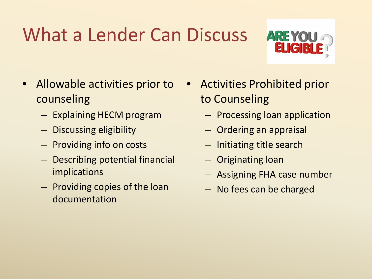### What a Lender Can Discuss



- Allowable activities prior to counseling
	- Explaining HECM program
	- Discussing eligibility
	- Providing info on costs
	- Describing potential financial implications
	- Providing copies of the loan documentation
- Activities Prohibited prior to Counseling
	- Processing loan application
	- Ordering an appraisal
	- Initiating title search
	- Originating loan
	- Assigning FHA case number
	- No fees can be charged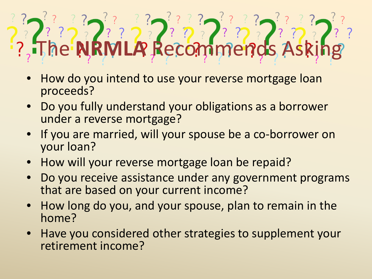# The **NRMLA** Recommends Asking

- How do you intend to use your reverse mortgage loan proceeds?
- Do you fully understand your obligations as a borrower under a reverse mortgage?
- If you are married, will your spouse be a co-borrower on your loan?
- How will your reverse mortgage loan be repaid?
- Do you receive assistance under any government programs that are based on your current income?
- How long do you, and your spouse, plan to remain in the home?
- Have you considered other strategies to supplement your retirement income?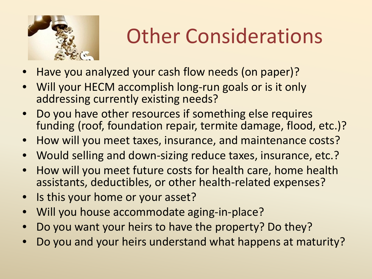

## Other Considerations

- Have you analyzed your cash flow needs (on paper)?
- Will your HECM accomplish long-run goals or is it only addressing currently existing needs?
- Do you have other resources if something else requires funding (roof, foundation repair, termite damage, flood, etc.)?
- How will you meet taxes, insurance, and maintenance costs?
- Would selling and down-sizing reduce taxes, insurance, etc.?
- How will you meet future costs for health care, home health assistants, deductibles, or other health-related expenses?
- Is this your home or your asset?
- Will you house accommodate aging-in-place?
- Do you want your heirs to have the property? Do they?
- Do you and your heirs understand what happens at maturity?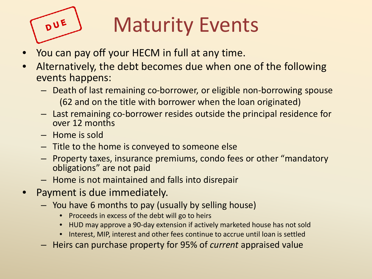

# Maturity Events

- You can pay off your HECM in full at any time.
- Alternatively, the debt becomes due when one of the following events happens:
	- Death of last remaining co-borrower, or eligible non-borrowing spouse (62 and on the title with borrower when the loan originated)
	- Last remaining co-borrower resides outside the principal residence for over 12 months
	- Home is sold
	- Title to the home is conveyed to someone else
	- Property taxes, insurance premiums, condo fees or other "mandatory obligations" are not paid
	- Home is not maintained and falls into disrepair
- Payment is due immediately.
	- You have 6 months to pay (usually by selling house)
		- Proceeds in excess of the debt will go to heirs
		- HUD may approve a 90-day extension if actively marketed house has not sold
		- Interest, MIP, interest and other fees continue to accrue until loan is settled
	- Heirs can purchase property for 95% of *current* appraised value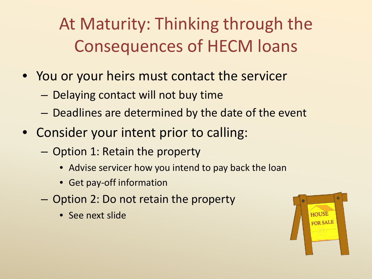At Maturity: Thinking through the Consequences of HECM loans

- You or your heirs must contact the servicer
	- Delaying contact will not buy time
	- Deadlines are determined by the date of the event
- Consider your intent prior to calling:
	- Option 1: Retain the property
		- Advise servicer how you intend to pay back the loan
		- Get pay-off information
	- Option 2: Do not retain the property
		- See next slide

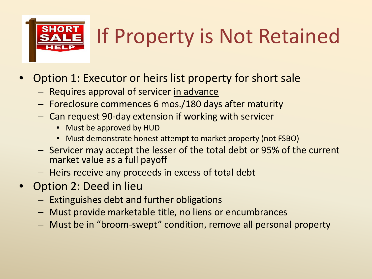# **SHORT**

# If Property is Not Retained

- Option 1: Executor or heirs list property for short sale
	- Requires approval of servicer in advance
	- Foreclosure commences 6 mos./180 days after maturity
	- Can request 90-day extension if working with servicer
		- Must be approved by HUD
		- Must demonstrate honest attempt to market property (not FSBO)
	- Servicer may accept the lesser of the total debt or 95% of the current market value as a full payoff
	- Heirs receive any proceeds in excess of total debt
- Option 2: Deed in lieu
	- Extinguishes debt and further obligations
	- Must provide marketable title, no liens or encumbrances
	- Must be in "broom-swept" condition, remove all personal property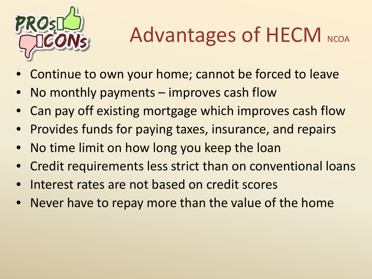

# Advantages of HECM NCOA

- Continue to own your home; cannot be forced to leave
- No monthly payments  $-$  improves cash flow
- Can pay off existing mortgage which improves cash flow
- Provides funds for paying taxes, insurance, and repairs
- No time limit on how long you keep the loan
- Credit requirements less strict than on conventional loans
- Interest rates are not based on credit scores
- Never have to repay more than the value of the home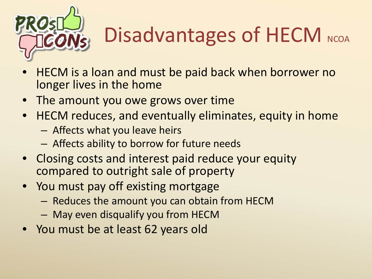

# Disadvantages of HECM NCOA

- HECM is a loan and must be paid back when borrower no longer lives in the home
- The amount you owe grows over time
- HECM reduces, and eventually eliminates, equity in home
	- Affects what you leave heirs
	- Affects ability to borrow for future needs
- Closing costs and interest paid reduce your equity compared to outright sale of property
- You must pay off existing mortgage
	- Reduces the amount you can obtain from HECM
	- May even disqualify you from HECM
- You must be at least 62 years old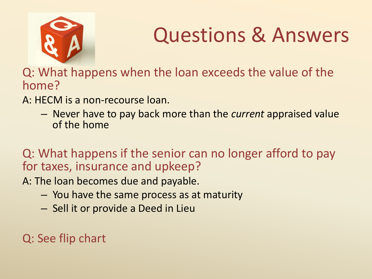

## Questions & Answers

Q: What happens when the loan exceeds the value of the home?

A: HECM is a non-recourse loan.

– Never have to pay back more than the *current* appraised value of the home

Q: What happens if the senior can no longer afford to pay for taxes, insurance and upkeep?

A: The loan becomes due and payable.

- You have the same process as at maturity
- Sell it or provide a Deed in Lieu

Q: See flip chart